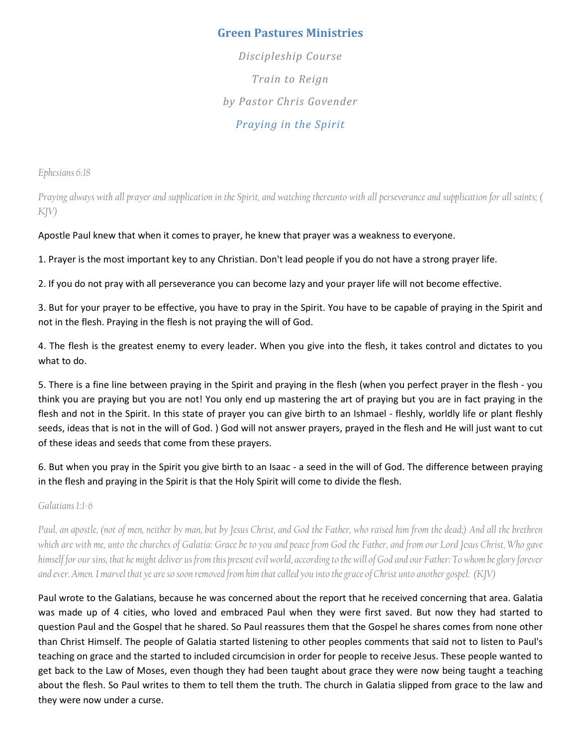# Green Pastures Ministries

Discipleship Course Train to Reign by Pastor Chris Govender Praying in the Spirit

Ephesians 6:18

Praying always with all prayer and supplication in the Spirit, and watching thereunto with all perseverance and supplication for all saints; ( KJV)

#### Apostle Paul knew that when it comes to prayer, he knew that prayer was a weakness to everyone.

1. Prayer is the most important key to any Christian. Don't lead people if you do not have a strong prayer life.

2. If you do not pray with all perseverance you can become lazy and your prayer life will not become effective.

3. But for your prayer to be effective, you have to pray in the Spirit. You have to be capable of praying in the Spirit and not in the flesh. Praying in the flesh is not praying the will of God.

4. The flesh is the greatest enemy to every leader. When you give into the flesh, it takes control and dictates to you what to do.

5. There is a fine line between praying in the Spirit and praying in the flesh (when you perfect prayer in the flesh - you think you are praying but you are not! You only end up mastering the art of praying but you are in fact praying in the flesh and not in the Spirit. In this state of prayer you can give birth to an Ishmael - fleshly, worldly life or plant fleshly seeds, ideas that is not in the will of God. ) God will not answer prayers, prayed in the flesh and He will just want to cut of these ideas and seeds that come from these prayers.

6. But when you pray in the Spirit you give birth to an Isaac - a seed in the will of God. The difference between praying in the flesh and praying in the Spirit is that the Holy Spirit will come to divide the flesh.

Galatians 1:1-6

Paul, an apostle, (not of men, neither by man, but by Jesus Christ, and God the Father, who raised him from the dead;) And all the brethren which are with me, unto the churches of Galatia: Grace be to you and peace from God the Father, and from our Lord Jesus Christ, Who gave himself for our sins, that he might deliver us from this present evil world, according to the will of God and our Father: To whom be glory forever and ever. Amen. I marvel that ye are so soon removed from him that called you into the grace of Christ unto another gospel: (KJV)

Paul wrote to the Galatians, because he was concerned about the report that he received concerning that area. Galatia was made up of 4 cities, who loved and embraced Paul when they were first saved. But now they had started to question Paul and the Gospel that he shared. So Paul reassures them that the Gospel he shares comes from none other than Christ Himself. The people of Galatia started listening to other peoples comments that said not to listen to Paul's teaching on grace and the started to included circumcision in order for people to receive Jesus. These people wanted to get back to the Law of Moses, even though they had been taught about grace they were now being taught a teaching about the flesh. So Paul writes to them to tell them the truth. The church in Galatia slipped from grace to the law and they were now under a curse.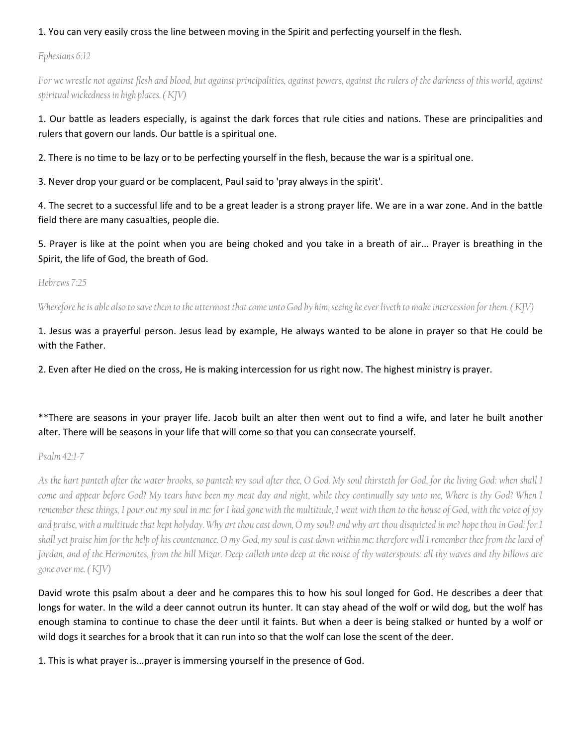### 1. You can very easily cross the line between moving in the Spirit and perfecting yourself in the flesh.

Ephesians 6:12

For we wrestle not against flesh and blood, but against principalities, against powers, against the rulers of the darkness of this world, against spiritual wickedness in high places. ( KJV)

## 1. Our battle as leaders especially, is against the dark forces that rule cities and nations. These are principalities and rulers that govern our lands. Our battle is a spiritual one.

2. There is no time to be lazy or to be perfecting yourself in the flesh, because the war is a spiritual one.

3. Never drop your guard or be complacent, Paul said to 'pray always in the spirit'.

4. The secret to a successful life and to be a great leader is a strong prayer life. We are in a war zone. And in the battle field there are many casualties, people die.

5. Prayer is like at the point when you are being choked and you take in a breath of air... Prayer is breathing in the Spirit, the life of God, the breath of God.

Hebrews 7:25

Wherefore he is able also to save them to the uttermost that come unto God by him, seeing he ever liveth to make intercession for them. (KJV)

1. Jesus was a prayerful person. Jesus lead by example, He always wanted to be alone in prayer so that He could be with the Father.

2. Even after He died on the cross, He is making intercession for us right now. The highest ministry is prayer.

# \*\*There are seasons in your prayer life. Jacob built an alter then went out to find a wife, and later he built another alter. There will be seasons in your life that will come so that you can consecrate yourself.

Psalm 42:1-7

As the hart panteth after the water brooks, so panteth my soul after thee, O God. My soul thirsteth for God, for the living God: when shall I come and appear before God? My tears have been my meat day and night, while they continually say unto me, Where is thy God? When I remember these things, I pour out my soul in me: for I had gone with the multitude, I went with them to the house of God, with the voice of joy and praise, with a multitude that kept holyday. Why art thou cast down, O my soul? and why art thou disquieted in me? hope thou in God: for I shall yet praise him for the help of his countenance. O my God, my soul is cast down within me: therefore will I remember thee from the land of Jordan, and of the Hermonites, from the hill Mizar. Deep calleth unto deep at the noise of thy waterspouts: all thy waves and thy billows are gone over me. ( KJV)

David wrote this psalm about a deer and he compares this to how his soul longed for God. He describes a deer that longs for water. In the wild a deer cannot outrun its hunter. It can stay ahead of the wolf or wild dog, but the wolf has enough stamina to continue to chase the deer until it faints. But when a deer is being stalked or hunted by a wolf or wild dogs it searches for a brook that it can run into so that the wolf can lose the scent of the deer.

1. This is what prayer is...prayer is immersing yourself in the presence of God.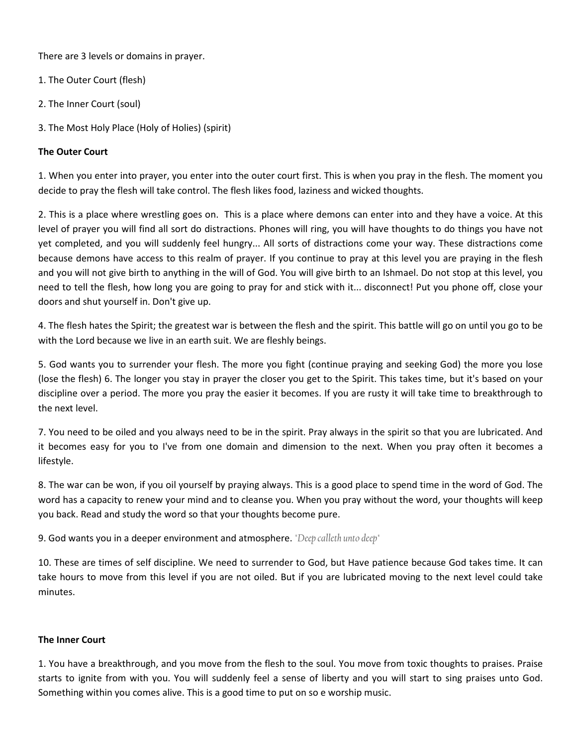There are 3 levels or domains in prayer.

- 1. The Outer Court (flesh)
- 2. The Inner Court (soul)
- 3. The Most Holy Place (Holy of Holies) (spirit)

### The Outer Court

1. When you enter into prayer, you enter into the outer court first. This is when you pray in the flesh. The moment you decide to pray the flesh will take control. The flesh likes food, laziness and wicked thoughts.

2. This is a place where wrestling goes on. This is a place where demons can enter into and they have a voice. At this level of prayer you will find all sort do distractions. Phones will ring, you will have thoughts to do things you have not yet completed, and you will suddenly feel hungry... All sorts of distractions come your way. These distractions come because demons have access to this realm of prayer. If you continue to pray at this level you are praying in the flesh and you will not give birth to anything in the will of God. You will give birth to an Ishmael. Do not stop at this level, you need to tell the flesh, how long you are going to pray for and stick with it... disconnect! Put you phone off, close your doors and shut yourself in. Don't give up.

4. The flesh hates the Spirit; the greatest war is between the flesh and the spirit. This battle will go on until you go to be with the Lord because we live in an earth suit. We are fleshly beings.

5. God wants you to surrender your flesh. The more you fight (continue praying and seeking God) the more you lose (lose the flesh) 6. The longer you stay in prayer the closer you get to the Spirit. This takes time, but it's based on your discipline over a period. The more you pray the easier it becomes. If you are rusty it will take time to breakthrough to the next level.

7. You need to be oiled and you always need to be in the spirit. Pray always in the spirit so that you are lubricated. And it becomes easy for you to I've from one domain and dimension to the next. When you pray often it becomes a lifestyle.

8. The war can be won, if you oil yourself by praying always. This is a good place to spend time in the word of God. The word has a capacity to renew your mind and to cleanse you. When you pray without the word, your thoughts will keep you back. Read and study the word so that your thoughts become pure.

9. God wants you in a deeper environment and atmosphere. "Deep calleth unto deep"

10. These are times of self discipline. We need to surrender to God, but Have patience because God takes time. It can take hours to move from this level if you are not oiled. But if you are lubricated moving to the next level could take minutes.

### The Inner Court

1. You have a breakthrough, and you move from the flesh to the soul. You move from toxic thoughts to praises. Praise starts to ignite from with you. You will suddenly feel a sense of liberty and you will start to sing praises unto God. Something within you comes alive. This is a good time to put on so e worship music.